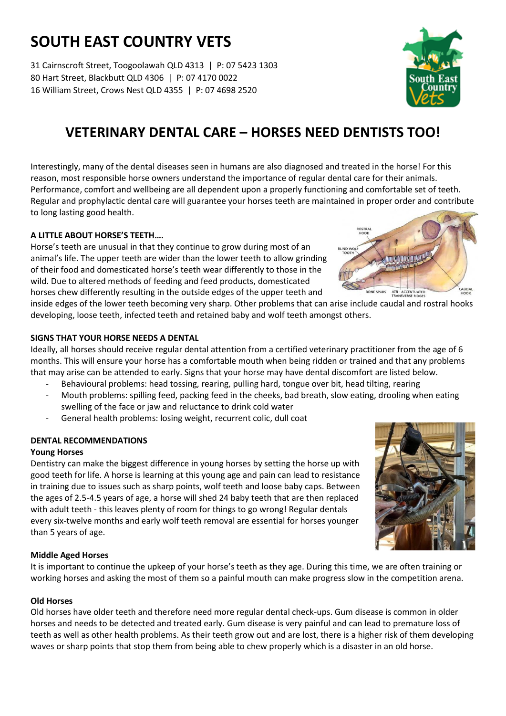# **SOUTH EAST COUNTRY VETS**

31 Cairnscroft Street, Toogoolawah QLD 4313 | P: 07 5423 1303 80 Hart Street, Blackbutt QLD 4306 | P: 07 4170 0022 16 William Street, Crows Nest QLD 4355 | P: 07 4698 2520

## **VETERINARY DENTAL CARE – HORSES NEED DENTISTS TOO!**

Interestingly, many of the dental diseases seen in humans are also diagnosed and treated in the horse! For this reason, most responsible horse owners understand the importance of regular dental care for their animals. Performance, comfort and wellbeing are all dependent upon a properly functioning and comfortable set of teeth. Regular and prophylactic dental care will guarantee your horses teeth are maintained in proper order and contribute to long lasting good health.

### **A LITTLE ABOUT HORSE'S TEETH….**

Horse's teeth are unusual in that they continue to grow during most of an animal's life. The upper teeth are wider than the lower teeth to allow grinding of their food and domesticated horse's teeth wear differently to those in the wild. Due to altered methods of feeding and feed products, domesticated horses chew differently resulting in the outside edges of the upper teeth and

inside edges of the lower teeth becoming very sharp. Other problems that can arise include caudal and rostral hooks developing, loose teeth, infected teeth and retained baby and wolf teeth amongst others.

#### **SIGNS THAT YOUR HORSE NEEDS A DENTAL**

Ideally, all horses should receive regular dental attention from a certified veterinary practitioner from the age of 6 months. This will ensure your horse has a comfortable mouth when being ridden or trained and that any problems that may arise can be attended to early. Signs that your horse may have dental discomfort are listed below.

- Behavioural problems: head tossing, rearing, pulling hard, tongue over bit, head tilting, rearing
- Mouth problems: spilling feed, packing feed in the cheeks, bad breath, slow eating, drooling when eating swelling of the face or jaw and reluctance to drink cold water
- General health problems: losing weight, recurrent colic, dull coat

#### **DENTAL RECOMMENDATIONS**

#### **Young Horses**

Dentistry can make the biggest difference in young horses by setting the horse up with good teeth for life. A horse is learning at this young age and pain can lead to resistance in training due to issues such as sharp points, wolf teeth and loose baby caps. Between the ages of 2.5-4.5 years of age, a horse will shed 24 baby teeth that are then replaced with adult teeth - this leaves plenty of room for things to go wrong! Regular dentals every six-twelve months and early wolf teeth removal are essential for horses younger than 5 years of age.

#### **Middle Aged Horses**

It is important to continue the upkeep of your horse's teeth as they age. During this time, we are often training or working horses and asking the most of them so a painful mouth can make progress slow in the competition arena.

#### **Old Horses**

Old horses have older teeth and therefore need more regular dental check-ups. Gum disease is common in older horses and needs to be detected and treated early. Gum disease is very painful and can lead to premature loss of teeth as well as other health problems. As their teeth grow out and are lost, there is a higher risk of them developing waves or sharp points that stop them from being able to chew properly which is a disaster in an old horse.





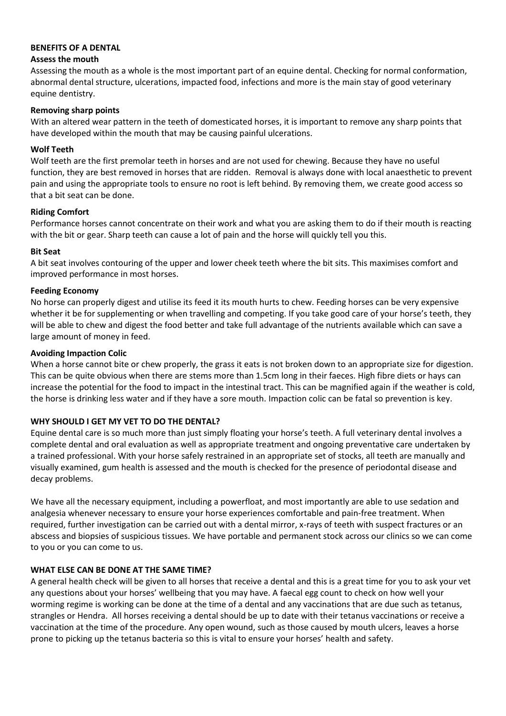#### **BENEFITS OF A DENTAL**

#### **Assess the mouth**

Assessing the mouth as a whole is the most important part of an equine dental. Checking for normal conformation, abnormal dental structure, ulcerations, impacted food, infections and more is the main stay of good veterinary equine dentistry.

#### **Removing sharp points**

With an altered wear pattern in the teeth of domesticated horses, it is important to remove any sharp points that have developed within the mouth that may be causing painful ulcerations.

#### **Wolf Teeth**

Wolf teeth are the first premolar teeth in horses and are not used for chewing. Because they have no useful function, they are best removed in horses that are ridden. Removal is always done with local anaesthetic to prevent pain and using the appropriate tools to ensure no root is left behind. By removing them, we create good access so that a bit seat can be done.

#### **Riding Comfort**

Performance horses cannot concentrate on their work and what you are asking them to do if their mouth is reacting with the bit or gear. Sharp teeth can cause a lot of pain and the horse will quickly tell you this.

#### **Bit Seat**

A bit seat involves contouring of the upper and lower cheek teeth where the bit sits. This maximises comfort and improved performance in most horses.

#### **Feeding Economy**

No horse can properly digest and utilise its feed it its mouth hurts to chew. Feeding horses can be very expensive whether it be for supplementing or when travelling and competing. If you take good care of your horse's teeth, they will be able to chew and digest the food better and take full advantage of the nutrients available which can save a large amount of money in feed.

#### **Avoiding Impaction Colic**

When a horse cannot bite or chew properly, the grass it eats is not broken down to an appropriate size for digestion. This can be quite obvious when there are stems more than 1.5cm long in their faeces. High fibre diets or hays can increase the potential for the food to impact in the intestinal tract. This can be magnified again if the weather is cold, the horse is drinking less water and if they have a sore mouth. Impaction colic can be fatal so prevention is key.

#### **WHY SHOULD I GET MY VET TO DO THE DENTAL?**

Equine dental care is so much more than just simply floating your horse's teeth. A full veterinary dental involves a complete dental and oral evaluation as well as appropriate treatment and ongoing preventative care undertaken by a trained professional. With your horse safely restrained in an appropriate set of stocks, all teeth are manually and visually examined, gum health is assessed and the mouth is checked for the presence of periodontal disease and decay problems.

We have all the necessary equipment, including a powerfloat, and most importantly are able to use sedation and analgesia whenever necessary to ensure your horse experiences comfortable and pain-free treatment. When required, further investigation can be carried out with a dental mirror, x-rays of teeth with suspect fractures or an abscess and biopsies of suspicious tissues. We have portable and permanent stock across our clinics so we can come to you or you can come to us.

#### **WHAT ELSE CAN BE DONE AT THE SAME TIME?**

A general health check will be given to all horses that receive a dental and this is a great time for you to ask your vet any questions about your horses' wellbeing that you may have. A faecal egg count to check on how well your worming regime is working can be done at the time of a dental and any vaccinations that are due such as tetanus, strangles or Hendra. All horses receiving a dental should be up to date with their tetanus vaccinations or receive a vaccination at the time of the procedure. Any open wound, such as those caused by mouth ulcers, leaves a horse prone to picking up the tetanus bacteria so this is vital to ensure your horses' health and safety.